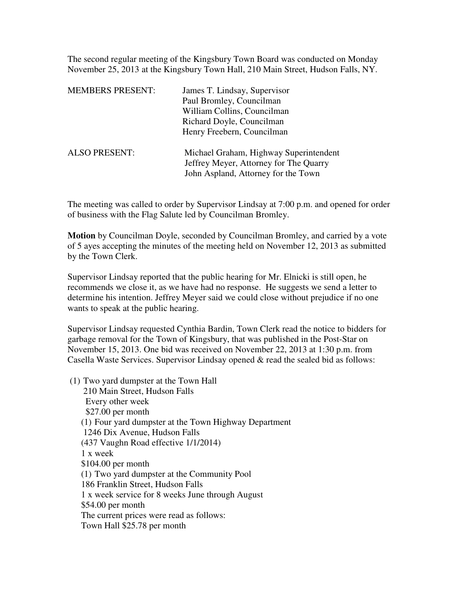The second regular meeting of the Kingsbury Town Board was conducted on Monday November 25, 2013 at the Kingsbury Town Hall, 210 Main Street, Hudson Falls, NY.

| <b>MEMBERS PRESENT:</b> | James T. Lindsay, Supervisor                                                                                            |
|-------------------------|-------------------------------------------------------------------------------------------------------------------------|
|                         | Paul Bromley, Councilman                                                                                                |
|                         | William Collins, Councilman                                                                                             |
|                         | Richard Doyle, Councilman                                                                                               |
|                         | Henry Freebern, Councilman                                                                                              |
| <b>ALSO PRESENT:</b>    | Michael Graham, Highway Superintendent<br>Jeffrey Meyer, Attorney for The Quarry<br>John Aspland, Attorney for the Town |

The meeting was called to order by Supervisor Lindsay at 7:00 p.m. and opened for order of business with the Flag Salute led by Councilman Bromley.

**Motion** by Councilman Doyle, seconded by Councilman Bromley, and carried by a vote of 5 ayes accepting the minutes of the meeting held on November 12, 2013 as submitted by the Town Clerk.

Supervisor Lindsay reported that the public hearing for Mr. Elnicki is still open, he recommends we close it, as we have had no response. He suggests we send a letter to determine his intention. Jeffrey Meyer said we could close without prejudice if no one wants to speak at the public hearing.

Supervisor Lindsay requested Cynthia Bardin, Town Clerk read the notice to bidders for garbage removal for the Town of Kingsbury, that was published in the Post-Star on November 15, 2013. One bid was received on November 22, 2013 at 1:30 p.m. from Casella Waste Services. Supervisor Lindsay opened & read the sealed bid as follows:

(1) Two yard dumpster at the Town Hall 210 Main Street, Hudson Falls Every other week \$27.00 per month (1) Four yard dumpster at the Town Highway Department 1246 Dix Avenue, Hudson Falls (437 Vaughn Road effective 1/1/2014) 1 x week \$104.00 per month (1) Two yard dumpster at the Community Pool 186 Franklin Street, Hudson Falls 1 x week service for 8 weeks June through August \$54.00 per month The current prices were read as follows: Town Hall \$25.78 per month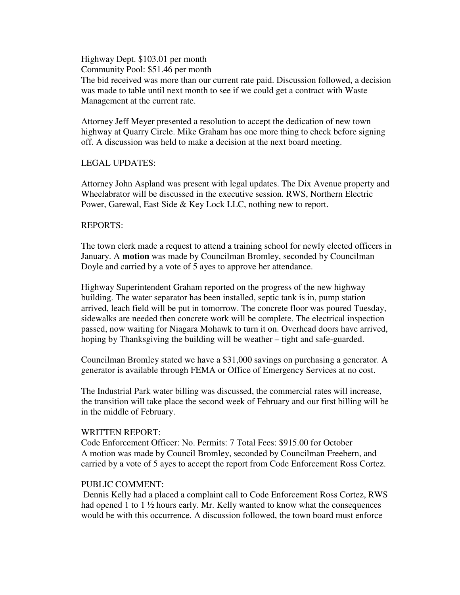Highway Dept. \$103.01 per month Community Pool: \$51.46 per month The bid received was more than our current rate paid. Discussion followed, a decision was made to table until next month to see if we could get a contract with Waste Management at the current rate.

Attorney Jeff Meyer presented a resolution to accept the dedication of new town highway at Quarry Circle. Mike Graham has one more thing to check before signing off. A discussion was held to make a decision at the next board meeting.

## LEGAL UPDATES:

Attorney John Aspland was present with legal updates. The Dix Avenue property and Wheelabrator will be discussed in the executive session. RWS, Northern Electric Power, Garewal, East Side & Key Lock LLC, nothing new to report.

## REPORTS:

The town clerk made a request to attend a training school for newly elected officers in January. A **motion** was made by Councilman Bromley, seconded by Councilman Doyle and carried by a vote of 5 ayes to approve her attendance.

Highway Superintendent Graham reported on the progress of the new highway building. The water separator has been installed, septic tank is in, pump station arrived, leach field will be put in tomorrow. The concrete floor was poured Tuesday, sidewalks are needed then concrete work will be complete. The electrical inspection passed, now waiting for Niagara Mohawk to turn it on. Overhead doors have arrived, hoping by Thanksgiving the building will be weather – tight and safe-guarded.

Councilman Bromley stated we have a \$31,000 savings on purchasing a generator. A generator is available through FEMA or Office of Emergency Services at no cost.

The Industrial Park water billing was discussed, the commercial rates will increase, the transition will take place the second week of February and our first billing will be in the middle of February.

## WRITTEN REPORT:

Code Enforcement Officer: No. Permits: 7 Total Fees: \$915.00 for October A motion was made by Council Bromley, seconded by Councilman Freebern, and carried by a vote of 5 ayes to accept the report from Code Enforcement Ross Cortez.

## PUBLIC COMMENT:

 Dennis Kelly had a placed a complaint call to Code Enforcement Ross Cortez, RWS had opened 1 to 1 <sup>1</sup>/<sub>2</sub> hours early. Mr. Kelly wanted to know what the consequences would be with this occurrence. A discussion followed, the town board must enforce